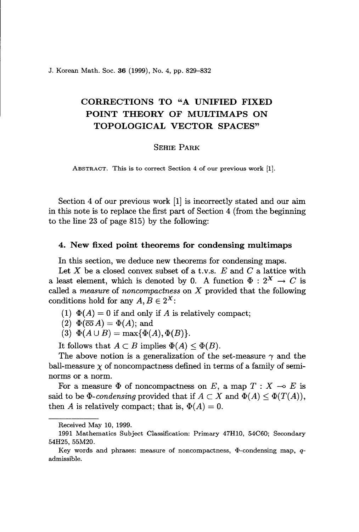J. Korean Math. Soc. 36 (1999), No. 4, pp. 829-832

# CORRECTIONS TO "A UNIFIED FIXED POINT THEORY OF MULTIMAPS ON TOPOLOGICAL VECTOR SPACES"

#### SEHIE PARK

ABSTRACT. This is to correct Section 4 of our previous work [1].

Section 4 of our previous work [1] is incorrectly stated and our aim in this note is to replace the first part of Section 4 (from the beginning to the line 23 of page 815) by the following:

## 4. New fixed point theorems for condensing multimaps

In this section, we deduce new theorems for condensing maps.

Let X be a closed convex subset of a t.v.s.  $E$  and  $C$  a lattice with a least element, which is denoted by 0. A function  $\Phi : 2^X \to C$  is called a *measure* of *noncompactness* on X provided that the following conditions hold for any  $A, B \in 2^X$ :

- (1)  $\Phi(A) = 0$  if and only if A is relatively compact;
- (2)  $\Phi(\overline{co} A) = \Phi(A)$ ; and
- (3)  $\Phi(A \cup B) = \max{\Phi(A), \Phi(B)}.$

It follows that  $A \subset B$  implies  $\Phi(A) \leq \Phi(B)$ .

The above notion is a generalization of the set-measure  $\gamma$  and the ball-measure  $\chi$  of noncompactness defined in terms of a family of seminorms or a norm.

For a measure  $\Phi$  of noncompactness on *E*, a map  $T : X \multimap E$  is said to be  $\Phi$ -*condensing* provided that if  $A \subset X$  and  $\Phi(A) \leq \Phi(T(A)),$ then A is relatively compact; that is,  $\Phi(A) = 0$ .

Received May 10, 1999.

<sup>1991</sup> Mathematics Subject Classification: Primary 47H10, 54C60; Secondary 54H25, 55M20.

Key words and phrases: measure of noncompactness,  $\Phi$ -condensing map, *q*admissible.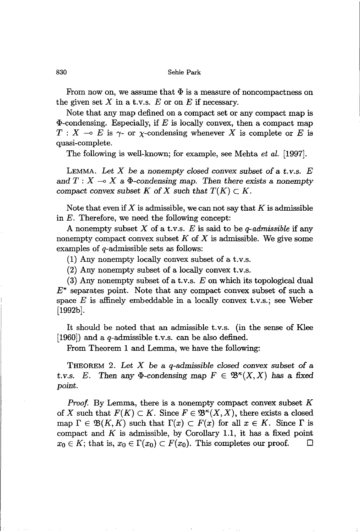### 830 Sehie Park

From now on, we assume that  $\Phi$  is a measure of noncompactness on the given set  $X$  in a t.v.s.  $E$  or on  $E$  if necessary.

Note that any map defined on a compact set or any compact map is  $\Phi$ -condensing. Especially, if *E* is locally convex, then a compact map  $T : X \multimap E$  is  $\gamma$ - or  $\gamma$ -condensing whenever X is complete or E is quasi-complete.

The following is well-known; for example, see Mehta *et al. [1997].*

LEMMA. *Let* X be a *nonempty closed* convex *subset of* a t. *v.s. E* and  $T : X \longrightarrow X$  a  $\Phi$ -condensing map. Then there exists a nonempty *compact convex subset*  $K$  *of*  $X$  *such that*  $T(K) \subset K$ .

Note that even if  $X$  is admissible, we can not say that  $K$  is admissible in  $E$ . Therefore, we need the following concept:

A nonempty subset X of a t.v.s. *E* is said to be *q-admissible* if any nonempty compact convex subset  $K$  of  $X$  is admissible. We give some examples of q-admissible sets as follows:

(1) Any nonempty locally convex subset of a t.v.s.

(2) Any nonempty subset of a locally convex t.v.s.

(3) Any nonempty subset of a t.v.s. *E* on which its topological dual  $E^*$  separates point. Note that any compact convex subset of such a space *E* is affinely embeddable in a locally convex t.v.s.; see Weber [1992b].

It should be noted that an admissible t.v.s. (in the sense of Klee [1960]) and a q-admissible t.v.s. can be also defined.

From Theorem 1 and Lemma, we have the following:

THEOREM 2. *Let* X be a *q-admissible closed convex subset of* a *t.v.s. E.* Then any  $\Phi$ -condensing map  $F \in \mathfrak{B}^{\kappa}(X,X)$  has a fixed *point.*

*Proof.* By Lemma, there is a nonempty compact convex subset K of X such that  $F(K) \subset K$ . Since  $F \in \mathfrak{B}^{\kappa}(X,X)$ , there exists a closed map  $\Gamma \in \mathfrak{B}(K,K)$  such that  $\Gamma(x) \subset F(x)$  for all  $x \in K$ . Since  $\Gamma$  is compact and  $K$  is admissible, by Corollary 1.1, it has a fixed point  $x_0 \in K$ ; that is,  $x_0 \in \Gamma(x_0) \subset F(x_0)$ . This completes our proof.  $\Box$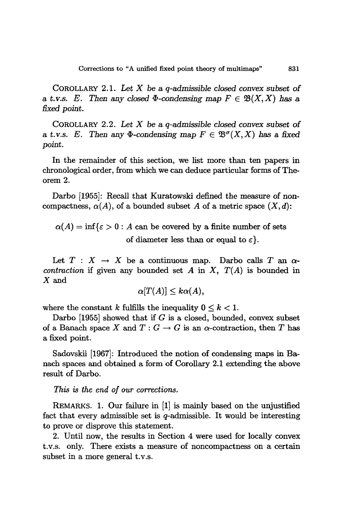COROLLARY 2.1. *Let* X be a *q-admissible closed convex subset* of a *t.v.s. E.* Then any closed  $\Phi$ -condensing map  $F \in \mathcal{B}(X,X)$  has a *fixed point.*

COROLLARY 2.2. *Let* X be a *q-admissible closed convex subset* of a *t.v.s. E.* Then any  $\Phi$ -condensing map  $F \in \mathfrak{B}^{\sigma}(X,X)$  has a fixed *point.*

In the remainder of this section, we list more than ten papers in chronological order, from which we can deduce particular forms of Theorem 2.

Darbo [1955]: Recall that Kuratowski defined the measure of noncompactness,  $\alpha(A)$ , of a bounded subset A of a metric space  $(X, d)$ :

 $\alpha(A) = \inf \{ \varepsilon > 0 : A$  can be covered by a finite number of sets of diameter less than or equal to  $\varepsilon$ .

Let  $T : X \to X$  be a continuous map. Darbo calls *T* an  $\alpha$ *contraction* if given any bounded set A in X,  $T(A)$  is bounded in X and

$$
\alpha[T(A)] \leq k\alpha(A),
$$

where the constant *k* fulfills the inequality  $0 \leq k \leq 1$ .

Darbo [1955] showed that if  $G$  is a closed, bounded, convex subset of a Banach space X and  $T: G \to G$  is an  $\alpha$ -contraction, then T has a fixed point.

Sadovskii [1967]: Introduced the notion of condensing maps in Banach spaces and obtained a form of Corollary 2.1 extending the above result of Darbo.

### *This is the end of our corrections.*

REMARKS. 1. Our failure in [1] is mainly based on the unjustified fact that every admissible set is  $q$ -admissible. It would be interesting to prove or disprove this statement.

2. Until now, the results in Section 4 were used for locally convex t.v.s. only. There exists a measure of noncompactness on a certain subset in a more general t.v.s.